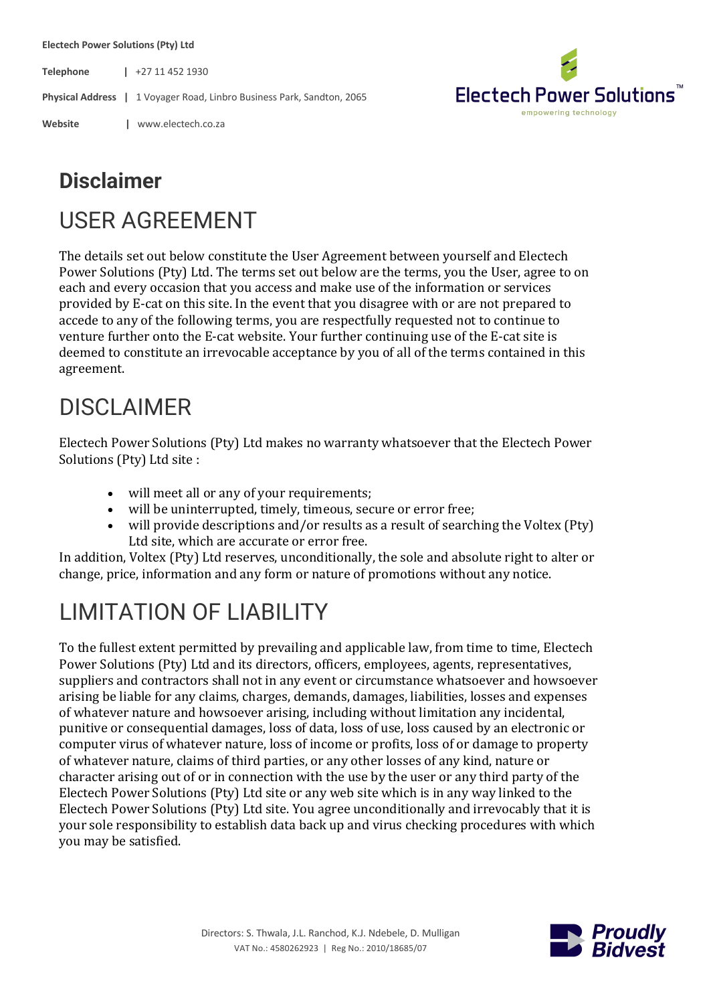**Electech Power Solutions (Pty) Ltd**

**Telephone |** +27 11 452 1930

**Physical Address |** 1 Voyager Road, Linbro Business Park, Sandton, 2065

**Website |** www.electech.co.za



# **Disclaimer**

### USER AGREEMENT

The details set out below constitute the User Agreement between yourself and Electech Power Solutions (Pty) Ltd. The terms set out below are the terms, you the User, agree to on each and every occasion that you access and make use of the information or services provided by E-cat on this site. In the event that you disagree with or are not prepared to accede to any of the following terms, you are respectfully requested not to continue to venture further onto the E-cat website. Your further continuing use of the E-cat site is deemed to constitute an irrevocable acceptance by you of all of the terms contained in this agreement.

### DISCLAIMER

Electech Power Solutions (Pty) Ltd makes no warranty whatsoever that the Electech Power Solutions (Pty) Ltd site :

- will meet all or any of your requirements;
- will be uninterrupted, timely, timeous, secure or error free;
- will provide descriptions and/or results as a result of searching the Voltex (Pty) Ltd site, which are accurate or error free.

In addition, Voltex (Pty) Ltd reserves, unconditionally, the sole and absolute right to alter or change, price, information and any form or nature of promotions without any notice.

# LIMITATION OF LIABILITY

To the fullest extent permitted by prevailing and applicable law, from time to time, Electech Power Solutions (Pty) Ltd and its directors, officers, employees, agents, representatives, suppliers and contractors shall not in any event or circumstance whatsoever and howsoever arising be liable for any claims, charges, demands, damages, liabilities, losses and expenses of whatever nature and howsoever arising, including without limitation any incidental, punitive or consequential damages, loss of data, loss of use, loss caused by an electronic or computer virus of whatever nature, loss of income or profits, loss of or damage to property of whatever nature, claims of third parties, or any other losses of any kind, nature or character arising out of or in connection with the use by the user or any third party of the Electech Power Solutions  $(Pty)$  Ltd site or any web site which is in any way linked to the Electech Power Solutions (Pty) Ltd site. You agree unconditionally and irrevocably that it is your sole responsibility to establish data back up and virus checking procedures with which you may be satisfied.